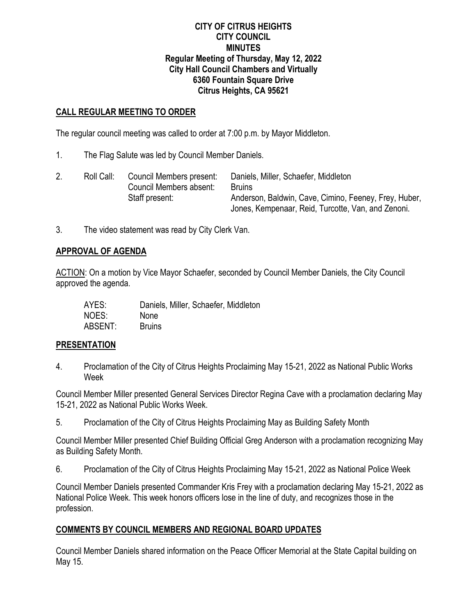#### **CITY OF CITRUS HEIGHTS CITY COUNCIL MINUTES Regular Meeting of Thursday, May 12, 2022 City Hall Council Chambers and Virtually 6360 Fountain Square Drive Citrus Heights, CA 95621**

## **CALL REGULAR MEETING TO ORDER**

The regular council meeting was called to order at 7:00 p.m. by Mayor Middleton.

1. The Flag Salute was led by Council Member Daniels.

|  | Roll Call: | Council Members present:<br>Council Members absent: | Daniels, Miller, Schaefer, Middleton<br><b>Bruins</b>                                                       |
|--|------------|-----------------------------------------------------|-------------------------------------------------------------------------------------------------------------|
|  |            | Staff present:                                      | Anderson, Baldwin, Cave, Cimino, Feeney, Frey, Huber,<br>Jones, Kempenaar, Reid, Turcotte, Van, and Zenoni. |

3. The video statement was read by City Clerk Van.

#### **APPROVAL OF AGENDA**

ACTION: On a motion by Vice Mayor Schaefer, seconded by Council Member Daniels, the City Council approved the agenda.

| AYES:   | Daniels, Miller, Schaefer, Middleton |
|---------|--------------------------------------|
| NOES:   | <b>None</b>                          |
| ABSENT: | <b>Bruins</b>                        |

#### **PRESENTATION**

4. Proclamation of the City of Citrus Heights Proclaiming May 15-21, 2022 as National Public Works Week

Council Member Miller presented General Services Director Regina Cave with a proclamation declaring May 15-21, 2022 as National Public Works Week.

5. Proclamation of the City of Citrus Heights Proclaiming May as Building Safety Month

Council Member Miller presented Chief Building Official Greg Anderson with a proclamation recognizing May as Building Safety Month.

6. Proclamation of the City of Citrus Heights Proclaiming May 15-21, 2022 as National Police Week

Council Member Daniels presented Commander Kris Frey with a proclamation declaring May 15-21, 2022 as National Police Week. This week honors officers lose in the line of duty, and recognizes those in the profession.

## **COMMENTS BY COUNCIL MEMBERS AND REGIONAL BOARD UPDATES**

Council Member Daniels shared information on the Peace Officer Memorial at the State Capital building on May 15.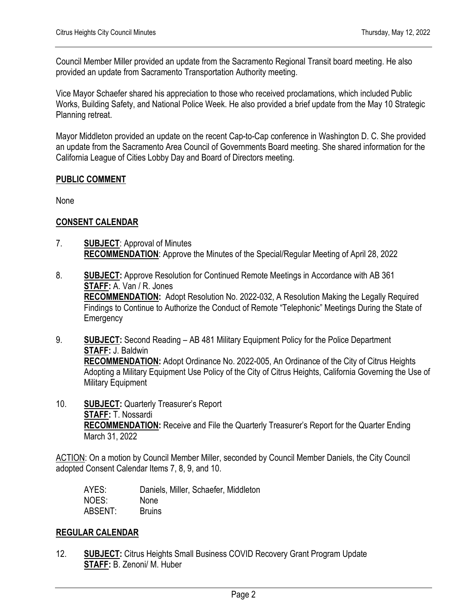Council Member Miller provided an update from the Sacramento Regional Transit board meeting. He also provided an update from Sacramento Transportation Authority meeting.

Vice Mayor Schaefer shared his appreciation to those who received proclamations, which included Public Works, Building Safety, and National Police Week. He also provided a brief update from the May 10 Strategic Planning retreat.

Mayor Middleton provided an update on the recent Cap-to-Cap conference in Washington D. C. She provided an update from the Sacramento Area Council of Governments Board meeting. She shared information for the California League of Cities Lobby Day and Board of Directors meeting.

## **PUBLIC COMMENT**

None

## **CONSENT CALENDAR**

- 7. **SUBJECT**: Approval of Minutes **RECOMMENDATION**: Approve the Minutes of the Special/Regular Meeting of April 28, 2022
- 8. **SUBJECT:** Approve Resolution for Continued Remote Meetings in Accordance with AB 361 **STAFF:** A. Van / R. Jones **RECOMMENDATION:** Adopt Resolution No. 2022-032, A Resolution Making the Legally Required Findings to Continue to Authorize the Conduct of Remote "Telephonic" Meetings During the State of **Emergency**
- 9. **SUBJECT:** Second Reading AB 481 Military Equipment Policy for the Police Department **STAFF:** J. Baldwin **RECOMMENDATION:** Adopt Ordinance No. 2022-005, An Ordinance of the City of Citrus Heights Adopting a Military Equipment Use Policy of the City of Citrus Heights, California Governing the Use of Military Equipment
- 10. **SUBJECT:** Quarterly Treasurer's Report **STAFF:** T. Nossardi **RECOMMENDATION:** Receive and File the Quarterly Treasurer's Report for the Quarter Ending March 31, 2022

ACTION: On a motion by Council Member Miller, seconded by Council Member Daniels, the City Council adopted Consent Calendar Items 7, 8, 9, and 10.

| AYES:   | Daniels, Miller, Schaefer, Middleton |
|---------|--------------------------------------|
| NOES:   | <b>None</b>                          |
| ABSENT: | <b>Bruins</b>                        |

#### **REGULAR CALENDAR**

12. **SUBJECT:** Citrus Heights Small Business COVID Recovery Grant Program Update **STAFF:** B. Zenoni/ M. Huber